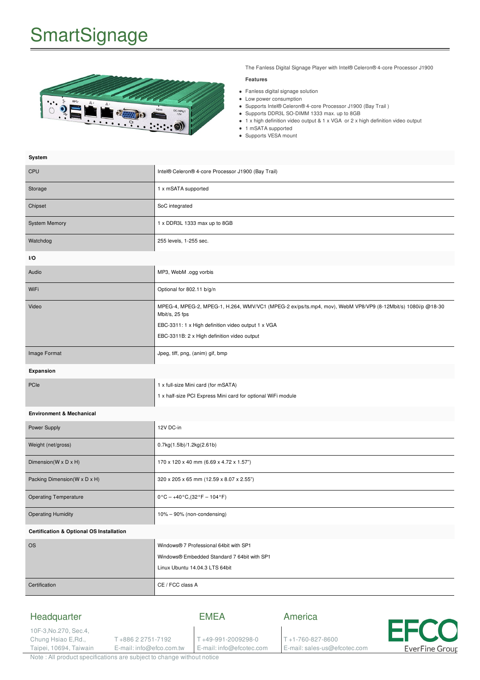# **SmartSignage**

**System**



The Fanless Digital Signage Player with Intel® Celeron® 4-core Processor J1900

### **Features**

- Fanless digital signage solution
- Low power consumption
- Supports Intel® Celeron® 4-core Processor J1900 (Bay Trail)
- Supports DDR3L SO-DIMM 1333 max. up to 8GB
	- 1 x high definition video output & 1 x VGA or 2 x high definition video output
	- 1 mSATA supported
- Supports VESA mount

| əystem                                              |                                                                                                                                                                                                                                    |
|-----------------------------------------------------|------------------------------------------------------------------------------------------------------------------------------------------------------------------------------------------------------------------------------------|
| <b>CPU</b>                                          | Intel® Celeron® 4-core Processor J1900 (Bay Trail)                                                                                                                                                                                 |
| Storage                                             | 1 x mSATA supported                                                                                                                                                                                                                |
| Chipset                                             | SoC integrated                                                                                                                                                                                                                     |
| <b>System Memory</b>                                | 1 x DDR3L 1333 max up to 8GB                                                                                                                                                                                                       |
| Watchdog                                            | 255 levels, 1-255 sec.                                                                                                                                                                                                             |
| I/O                                                 |                                                                                                                                                                                                                                    |
| Audio                                               | MP3, WebM .ogg vorbis                                                                                                                                                                                                              |
| WiFi                                                | Optional for 802.11 b/g/n                                                                                                                                                                                                          |
| Video                                               | MPEG-4, MPEG-2, MPEG-1, H.264, WMV/VC1 (MPEG-2 ex/ps/ts.mp4, mov), WebM VP8/VP9 (8-12Mbit/s) 1080i/p @18-30<br>Mbit/s, 25 fps<br>EBC-3311: 1 x High definition video output 1 x VGA<br>EBC-3311B: 2 x High definition video output |
| Image Format                                        | Jpeg, tiff, png, (anim) gif, bmp                                                                                                                                                                                                   |
| Expansion                                           |                                                                                                                                                                                                                                    |
| PCIe                                                | 1 x full-size Mini card (for mSATA)<br>1 x half-size PCI Express Mini card for optional WiFi module                                                                                                                                |
| <b>Environment &amp; Mechanical</b>                 |                                                                                                                                                                                                                                    |
| Power Supply                                        | 12V DC-in                                                                                                                                                                                                                          |
| Weight (net/gross)                                  | 0.7kg(1.5lb)/1.2kg(2.61b)                                                                                                                                                                                                          |
| Dimension(W x D x H)                                | 170 x 120 x 40 mm (6.69 x 4.72 x 1.57")                                                                                                                                                                                            |
| Packing Dimension(W x D x H)                        | 320 x 205 x 65 mm (12.59 x 8.07 x 2.55")                                                                                                                                                                                           |
| <b>Operating Temperature</b>                        | $0^{\circ}C - +40^{\circ}C$ , $(32^{\circ}F - 104^{\circ}F)$                                                                                                                                                                       |
| <b>Operating Humidity</b>                           | 10% - 90% (non-condensing)                                                                                                                                                                                                         |
| <b>Certification &amp; Optional OS Installation</b> |                                                                                                                                                                                                                                    |
| <b>OS</b>                                           | Windows® 7 Professional 64bit with SP1<br>Windows® Embedded Standard 7 64bit with SP1<br>Linux Ubuntu 14.04.3 LTS 64bit                                                                                                            |
| Certification                                       | CE / FCC class A                                                                                                                                                                                                                   |

### Headquarter EMEA America 10F-3,No.270, Sec.4, Chung Hsiao E,Rd., T +886 2 2751-7192 T +49-991-2009298-0 T +1-760-827-8600 E-mail: info@efco.com.tw Taipei, 10694, Taiwain E-mail: info@efcotec.com E-mail: sales-us@efcotec.com **EverFine Group**

Note : All product specifications are subject to change without notice